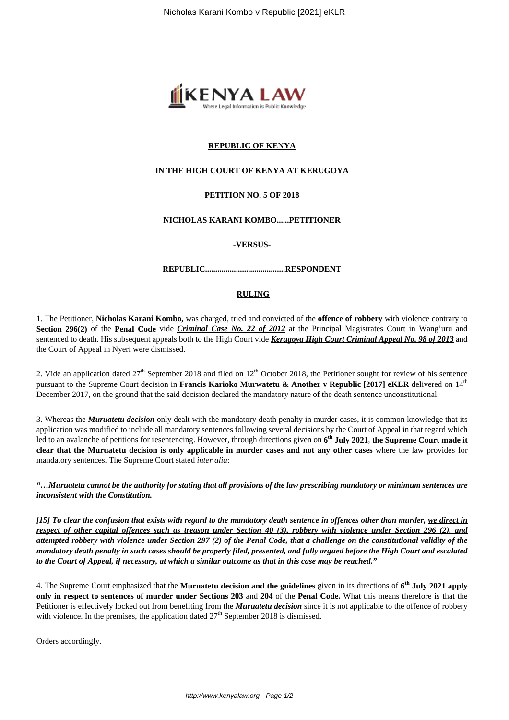

# **REPUBLIC OF KENYA**

# **IN THE HIGH COURT OF KENYA AT KERUGOYA**

# **PETITION NO. 5 OF 2018**

#### **NICHOLAS KARANI KOMBO......PETITIONER**

#### **-VERSUS-**

#### **REPUBLIC.......................................RESPONDENT**

### **RULING**

1. The Petitioner, **Nicholas Karani Kombo,** was charged, tried and convicted of the **offence of robbery** with violence contrary to **Section 296(2)** of the **Penal Code** vide *Criminal Case No. 22 of 2012* at the Principal Magistrates Court in Wang'uru and sentenced to death. His subsequent appeals both to the High Court vide *Kerugoya High Court Criminal Appeal No. 98 of 2013* and the Court of Appeal in Nyeri were dismissed.

2. Vide an application dated  $27<sup>th</sup>$  September 2018 and filed on  $12<sup>th</sup>$  October 2018, the Petitioner sought for review of his sentence pursuant to the Supreme Court decision in **Francis Karioko Murwatetu & Another v Republic [2017] eKLR** delivered on 14th December 2017, on the ground that the said decision declared the mandatory nature of the death sentence unconstitutional.

3. Whereas the *Muruatetu decision* only dealt with the mandatory death penalty in murder cases, it is common knowledge that its application was modified to include all mandatory sentences following several decisions by the Court of Appeal in that regard which led to an avalanche of petitions for resentencing. However, through directions given on **6 th July 2021**, **the Supreme Court made it clear that the Muruatetu decision is only applicable in murder cases and not any other cases** where the law provides for mandatory sentences. The Supreme Court stated *inter alia*:

*"…Muruatetu cannot be the authority for stating that all provisions of the law prescribing mandatory or minimum sentences are inconsistent with the Constitution.*

*[15] To clear the confusion that exists with regard to the mandatory death sentence in offences other than murder, we direct in respect of other capital offences such as treason under Section 40 (3), robbery with violence under Section 296 (2), and attempted robbery with violence under Section 297 (2) of the Penal Code, that a challenge on the constitutional validity of the mandatory death penalty in such cases should be properly filed, presented, and fully argued before the High Court and escalated to the Court of Appeal, if necessary, at which a similar outcome as that in this case may be reached."*

4. The Supreme Court emphasized that the **Muruatetu decision and the guidelines** given in its directions of **6 th July 2021 apply only in respect to sentences of murder under Sections 203** and **204** of the **Penal Code.** What this means therefore is that the Petitioner is effectively locked out from benefiting from the *Muruatetu decision* since it is not applicable to the offence of robbery with violence. In the premises, the application dated  $27<sup>th</sup>$  September 2018 is dismissed.

Orders accordingly.